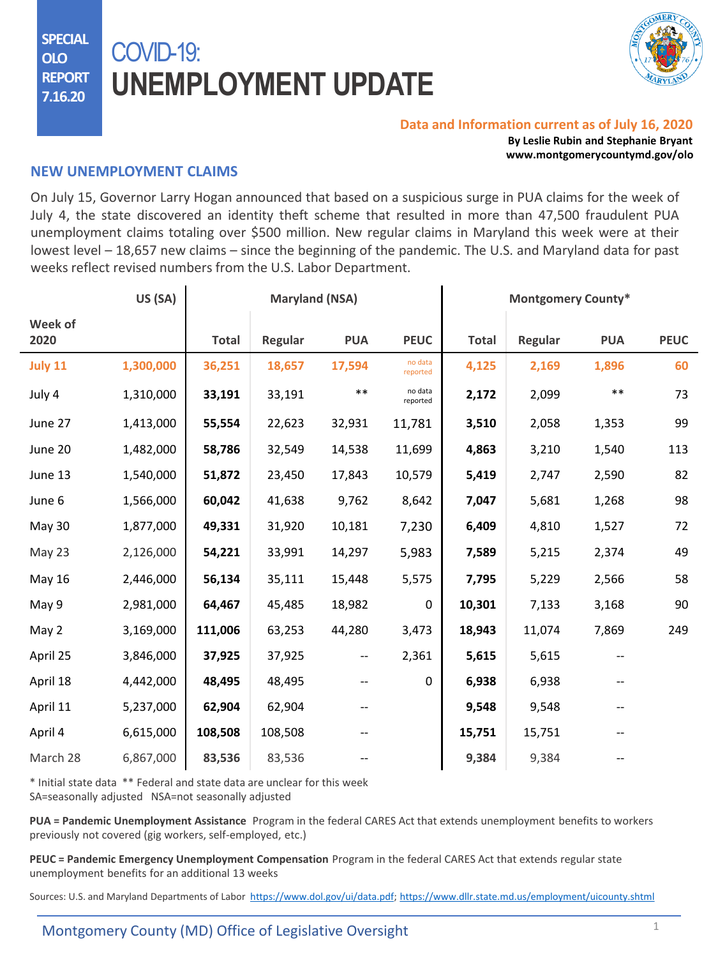**SPECIAL OLO REPORT 7.16.20**

# COVID-19: **UNEMPLOYMENT UPDATE**



#### **Data and Information current as of July 16, 2020**

**By Leslie Rubin and Stephanie Bryant www.montgomerycountymd.gov/olo**

### **NEW UNEMPLOYMENT CLAIMS**

On July 15, Governor Larry Hogan announced that based on a suspicious surge in PUA claims for the week of July 4, the state discovered an identity theft scheme that resulted in more than 47,500 fraudulent PUA unemployment claims totaling over \$500 million. New regular claims in Maryland this week were at their lowest level – 18,657 new claims – since the beginning of the pandemic. The U.S. and Maryland data for past weeks reflect revised numbers from the U.S. Labor Department.

|                 | US (SA)   | <b>Maryland (NSA)</b> |         |            | <b>Montgomery County*</b> |              |         |            |             |
|-----------------|-----------|-----------------------|---------|------------|---------------------------|--------------|---------|------------|-------------|
| Week of<br>2020 |           | <b>Total</b>          | Regular | <b>PUA</b> | <b>PEUC</b>               | <b>Total</b> | Regular | <b>PUA</b> | <b>PEUC</b> |
| July 11         | 1,300,000 | 36,251                | 18,657  | 17,594     | no data<br>reported       | 4,125        | 2,169   | 1,896      | 60          |
| July 4          | 1,310,000 | 33,191                | 33,191  | $***$      | no data<br>reported       | 2,172        | 2,099   | $***$      | 73          |
| June 27         | 1,413,000 | 55,554                | 22,623  | 32,931     | 11,781                    | 3,510        | 2,058   | 1,353      | 99          |
| June 20         | 1,482,000 | 58,786                | 32,549  | 14,538     | 11,699                    | 4,863        | 3,210   | 1,540      | 113         |
| June 13         | 1,540,000 | 51,872                | 23,450  | 17,843     | 10,579                    | 5,419        | 2,747   | 2,590      | 82          |
| June 6          | 1,566,000 | 60,042                | 41,638  | 9,762      | 8,642                     | 7,047        | 5,681   | 1,268      | 98          |
| May 30          | 1,877,000 | 49,331                | 31,920  | 10,181     | 7,230                     | 6,409        | 4,810   | 1,527      | 72          |
| May 23          | 2,126,000 | 54,221                | 33,991  | 14,297     | 5,983                     | 7,589        | 5,215   | 2,374      | 49          |
| <b>May 16</b>   | 2,446,000 | 56,134                | 35,111  | 15,448     | 5,575                     | 7,795        | 5,229   | 2,566      | 58          |
| May 9           | 2,981,000 | 64,467                | 45,485  | 18,982     | 0                         | 10,301       | 7,133   | 3,168      | 90          |
| May 2           | 3,169,000 | 111,006               | 63,253  | 44,280     | 3,473                     | 18,943       | 11,074  | 7,869      | 249         |
| April 25        | 3,846,000 | 37,925                | 37,925  | --         | 2,361                     | 5,615        | 5,615   |            |             |
| April 18        | 4,442,000 | 48,495                | 48,495  | --         | $\Omega$                  | 6,938        | 6,938   |            |             |
| April 11        | 5,237,000 | 62,904                | 62,904  |            |                           | 9,548        | 9,548   |            |             |
| April 4         | 6,615,000 | 108,508               | 108,508 |            |                           | 15,751       | 15,751  |            |             |
| March 28        | 6,867,000 | 83,536                | 83,536  |            |                           | 9,384        | 9,384   |            |             |

\* Initial state data \*\* Federal and state data are unclear for this week

SA=seasonally adjusted NSA=not seasonally adjusted

**PUA = Pandemic Unemployment Assistance** Program in the federal CARES Act that extends unemployment benefits to workers previously not covered (gig workers, self-employed, etc.)

**PEUC = Pandemic Emergency Unemployment Compensation** Program in the federal CARES Act that extends regular state unemployment benefits for an additional 13 weeks

Sources: U.S. and Maryland Departments of Labor <https://www.dol.gov/ui/data.pdf>; <https://www.dllr.state.md.us/employment/uicounty.shtml>